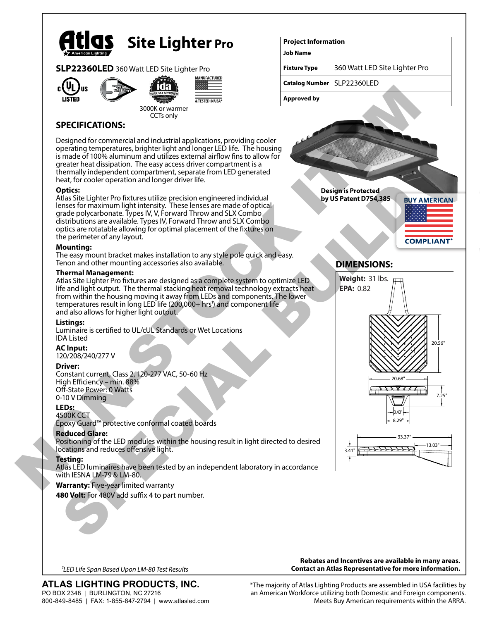

# **Site Lighter Pro**

# **SLP22360LED** 360 Watt LED Site Lighter Pro





ANUFACTURED

3000K or warmer CCTs only

# **SPECIFICATIONS:**

Designed for commercial and industrial applications, providing cooler operating temperatures, brighter light and longer LED life. The housing is made of 100% aluminum and utilizes external airflow fins to allow for greater heat dissipation. The easy access driver compartment is a thermally independent compartment, separate from LED generated heat, for cooler operation and longer driver life.

### **Optics:**

Atlas Site Lighter Pro fixtures utilize precision engineered individual lenses for maximum light intensity. These lenses are made of optical grade polycarbonate. Types IV, V, Forward Throw and SLX Combo distributions are available. Types IV, Forward Throw and SLX Combo optics are rotatable allowing for optimal placement of the fixtures on the perimeter of any layout.

### **Mounting:**

The easy mount bracket makes installation to any style pole quick and easy. Tenon and other mounting accessories also available.

### **Thermal Management:**

Atlas Site Lighter Pro fixtures are designed as a complete system to optimize LED life and light output. The thermal stacking heat removal technology extracts heat from within the housing moving it away from LEDs and components. The lower temperatures result in long LED life (200,000+ hrs<sup>1</sup>) and component life and also allows for higher light output.

# **Listings:**

Luminaire is certified to UL/cUL Standards or Wet Locations IDA Listed

# **AC Input:**

120/208/240/277 V

# **Driver:**

Constant current, Class 2, 120-277 VAC, 50-60 Hz High Efficiency – min. 88% Off-State Power: 0 Watts 0-10 V Dimming

# **LEDs:**

4500K CCT Epoxy Guard™ protective conformal coated boards

# **Reduced Glare:**

Positioning of the LED modules within the housing result in light directed to desired locations and reduces offensive light.

#### **Testing:**

Atlas LED luminaires have been tested by an independent laboratory in accordance with IESNA LM-79 & LM-80.

# **Warranty:** Five-year limited warranty

480 Volt: For 480V add suffix 4 to part number.

360 Watt LED Site Lighter Pro

**Project Information**

**Catalog Number** SLP22360LED

**Job Name**

**Fixture Type**

**Approved by**

**Design is Protected by US Patent D754,385**



# **DIMENSIONS:**



800-849-8485 | FAX: 1-855-847-2794 | www.atlasled.com

**ATLAS LIGHTING PRODUCTS, INC.** PO BOX 2348 | BURLINGTON, NC 27216

**Rebates and Incentives are available in many areas. Contact an Atlas Representative for more information.** *1LED Life Span Based Upon LM-80 Test Results*

> \*The majority of Atlas Lighting Products are assembled in USA facilities by an American Workforce utilizing both Domestic and Foreign components. Meets Buy American requirements within the ARRA.